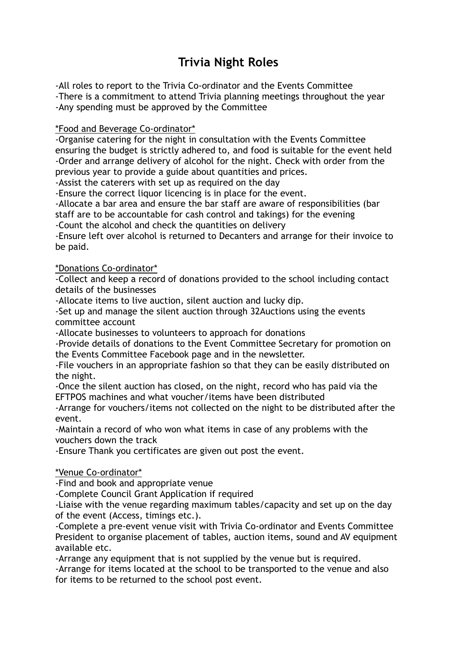# **Trivia Night Roles**

-All roles to report to the Trivia Co-ordinator and the Events Committee

-There is a commitment to attend Trivia planning meetings throughout the year -Any spending must be approved by the Committee

#### \*Food and Beverage Co-ordinator\*

-Organise catering for the night in consultation with the Events Committee ensuring the budget is strictly adhered to, and food is suitable for the event held -Order and arrange delivery of alcohol for the night. Check with order from the previous year to provide a guide about quantities and prices.

-Assist the caterers with set up as required on the day

-Ensure the correct liquor licencing is in place for the event.

-Allocate a bar area and ensure the bar staff are aware of responsibilities (bar staff are to be accountable for cash control and takings) for the evening

-Count the alcohol and check the quantities on delivery

-Ensure left over alcohol is returned to Decanters and arrange for their invoice to be paid.

## \*Donations Co-ordinator\*

-Collect and keep a record of donations provided to the school including contact details of the businesses

-Allocate items to live auction, silent auction and lucky dip.

-Set up and manage the silent auction through 32Auctions using the events committee account

-Allocate businesses to volunteers to approach for donations

-Provide details of donations to the Event Committee Secretary for promotion on the Events Committee Facebook page and in the newsletter.

-File vouchers in an appropriate fashion so that they can be easily distributed on the night.

-Once the silent auction has closed, on the night, record who has paid via the EFTPOS machines and what voucher/items have been distributed

-Arrange for vouchers/items not collected on the night to be distributed after the event.

-Maintain a record of who won what items in case of any problems with the vouchers down the track

-Ensure Thank you certificates are given out post the event.

\*Venue Co-ordinator\*

-Find and book and appropriate venue

-Complete Council Grant Application if required

-Liaise with the venue regarding maximum tables/capacity and set up on the day of the event (Access, timings etc.).

-Complete a pre-event venue visit with Trivia Co-ordinator and Events Committee President to organise placement of tables, auction items, sound and AV equipment available etc.

-Arrange any equipment that is not supplied by the venue but is required.

-Arrange for items located at the school to be transported to the venue and also for items to be returned to the school post event.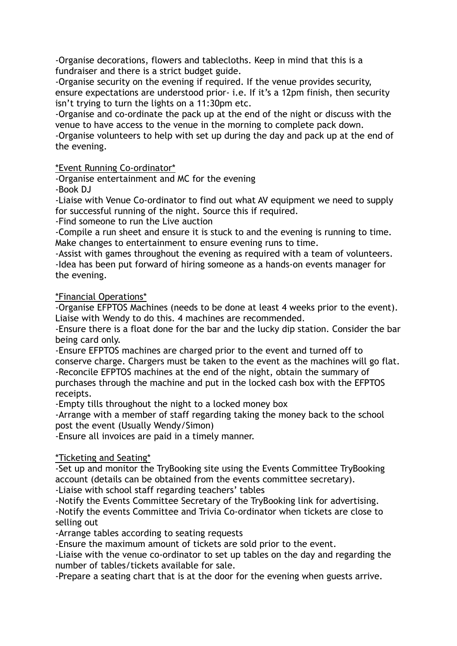-Organise decorations, flowers and tablecloths. Keep in mind that this is a fundraiser and there is a strict budget guide.

-Organise security on the evening if required. If the venue provides security, ensure expectations are understood prior- i.e. If it's a 12pm finish, then security isn't trying to turn the lights on a 11:30pm etc.

-Organise and co-ordinate the pack up at the end of the night or discuss with the venue to have access to the venue in the morning to complete pack down.

-Organise volunteers to help with set up during the day and pack up at the end of the evening.

## \*Event Running Co-ordinator\*

-Organise entertainment and MC for the evening

-Book DJ

-Liaise with Venue Co-ordinator to find out what AV equipment we need to supply for successful running of the night. Source this if required.

-Find someone to run the Live auction

-Compile a run sheet and ensure it is stuck to and the evening is running to time. Make changes to entertainment to ensure evening runs to time.

-Assist with games throughout the evening as required with a team of volunteers. -Idea has been put forward of hiring someone as a hands-on events manager for the evening.

\*Financial Operations\*

-Organise EFPTOS Machines (needs to be done at least 4 weeks prior to the event). Liaise with Wendy to do this. 4 machines are recommended.

-Ensure there is a float done for the bar and the lucky dip station. Consider the bar being card only.

-Ensure EFPTOS machines are charged prior to the event and turned off to conserve charge. Chargers must be taken to the event as the machines will go flat. -Reconcile EFPTOS machines at the end of the night, obtain the summary of purchases through the machine and put in the locked cash box with the EFPTOS receipts.

-Empty tills throughout the night to a locked money box

-Arrange with a member of staff regarding taking the money back to the school post the event (Usually Wendy/Simon)

-Ensure all invoices are paid in a timely manner.

\*Ticketing and Seating\*

-Set up and monitor the TryBooking site using the Events Committee TryBooking account (details can be obtained from the events committee secretary).

-Liaise with school staff regarding teachers' tables

-Notify the Events Committee Secretary of the TryBooking link for advertising. -Notify the events Committee and Trivia Co-ordinator when tickets are close to selling out

-Arrange tables according to seating requests

-Ensure the maximum amount of tickets are sold prior to the event.

-Liaise with the venue co-ordinator to set up tables on the day and regarding the number of tables/tickets available for sale.

-Prepare a seating chart that is at the door for the evening when guests arrive.